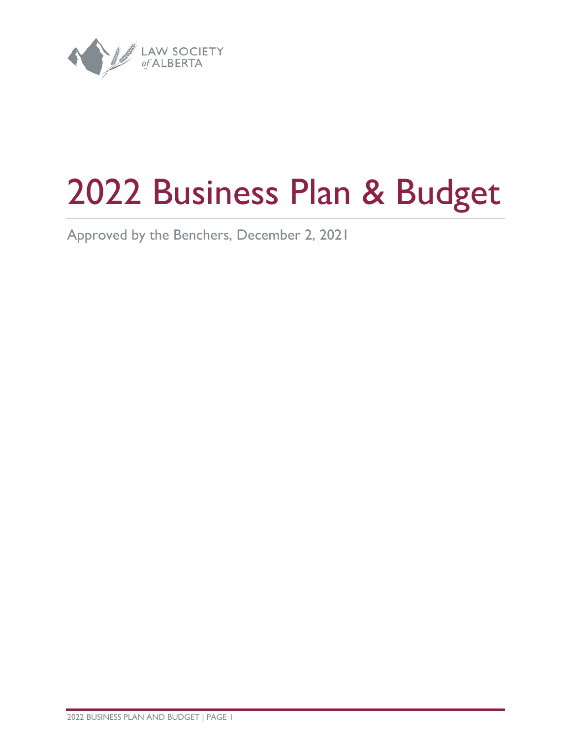

# Business Plan & Budget

Approved by the Benchers, December 2, 2021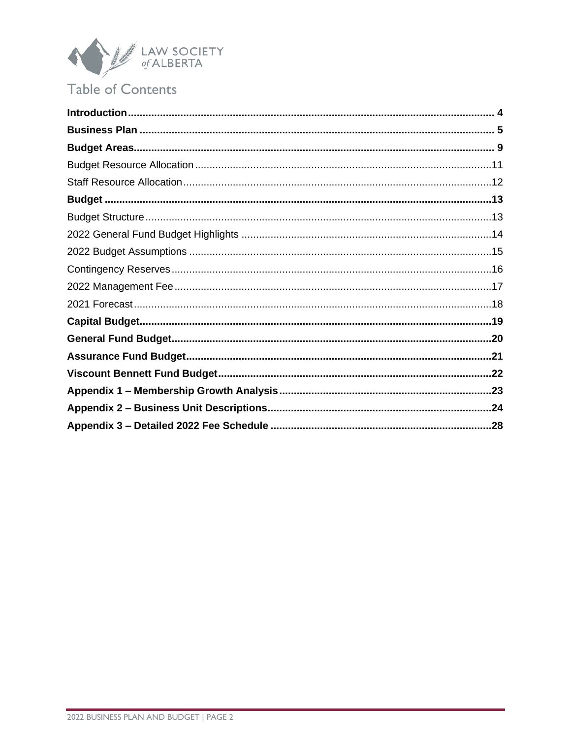

# Table of Contents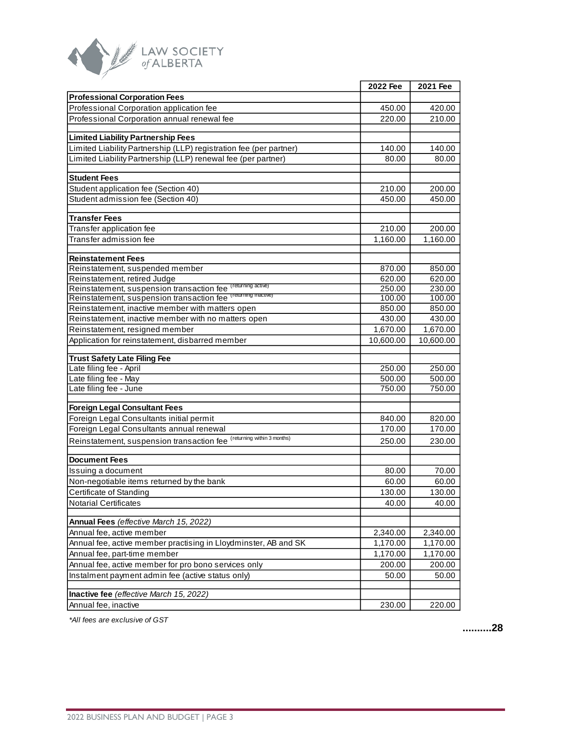

|                                                                       | 2022 Fee  | 2021 Fee  |
|-----------------------------------------------------------------------|-----------|-----------|
| <b>Professional Corporation Fees</b>                                  |           |           |
| Professional Corporation application fee                              | 450.00    | 420.00    |
| Professional Corporation annual renewal fee                           | 220.00    | 210.00    |
|                                                                       |           |           |
| <b>Limited Liability Partnership Fees</b>                             |           |           |
| Limited Liability Partnership (LLP) registration fee (per partner)    | 140.00    | 140.00    |
| Limited Liability Partnership (LLP) renewal fee (per partner)         | 80.00     | 80.00     |
|                                                                       |           |           |
| <b>Student Fees</b>                                                   |           |           |
| Student application fee (Section 40)                                  | 210.00    | 200.00    |
| Student admission fee (Section 40)                                    | 450.00    | 450.00    |
| <b>Transfer Fees</b>                                                  |           |           |
| Transfer application fee                                              | 210.00    | 200.00    |
| Transfer admission fee                                                | 1,160.00  | 1,160.00  |
|                                                                       |           |           |
| <b>Reinstatement Fees</b>                                             |           |           |
| Reinstatement, suspended member                                       | 870.00    | 850.00    |
| Reinstatement, retired Judge                                          | 620.00    | 620.00    |
| Reinstatement, suspension transaction fee (returning active)          | 250.00    | 230.00    |
| Reinstatement, suspension transaction fee (returning inactive)        | 100.00    | 100.00    |
| Reinstatement, inactive member with matters open                      | 850.00    | 850.00    |
| Reinstatement, inactive member with no matters open                   | 430.00    | 430.00    |
| Reinstatement, resigned member                                        | 1,670.00  | 1,670.00  |
| Application for reinstatement, disbarred member                       | 10,600.00 | 10,600.00 |
| <b>Trust Safety Late Filing Fee</b>                                   |           |           |
| Late filing fee - April                                               | 250.00    | 250.00    |
| Late filing fee - May                                                 | 500.00    | 500.00    |
| Late filing fee - June                                                | 750.00    | 750.00    |
|                                                                       |           |           |
| <b>Foreign Legal Consultant Fees</b>                                  |           |           |
| Foreign Legal Consultants initial permit                              | 840.00    | 820.00    |
| Foreign Legal Consultants annual renewal                              | 170.00    | 170.00    |
| Reinstatement, suspension transaction fee (returning within 3 months) | 250.00    | 230.00    |
|                                                                       |           |           |
| <b>Document Fees</b>                                                  |           |           |
| Issuing a document                                                    | 80.00     | 70.00     |
| Non-negotiable items returned by the bank<br>Certificate of Standing  | 60.00     | 60.00     |
|                                                                       | 130.00    | 130.00    |
| <b>Notarial Certificates</b>                                          | 40.00     | 40.00     |
| Annual Fees (effective March 15, 2022)                                |           |           |
| Annual fee, active member                                             | 2,340.00  | 2,340.00  |
| Annual fee, active member practising in Lloydminster, AB and SK       | 1,170.00  | 1,170.00  |
| Annual fee, part-time member                                          | 1,170.00  | 1,170.00  |
| Annual fee, active member for pro bono services only                  | 200.00    | 200.00    |
| Instalment payment admin fee (active status only)                     | 50.00     | 50.00     |
|                                                                       |           |           |
| Inactive fee (effective March 15, 2022)                               |           |           |
| Annual fee, inactive                                                  | 230.00    | 220.00    |

*\*All fees are exclusive of GST*

**.........[.28](#page-27-1)**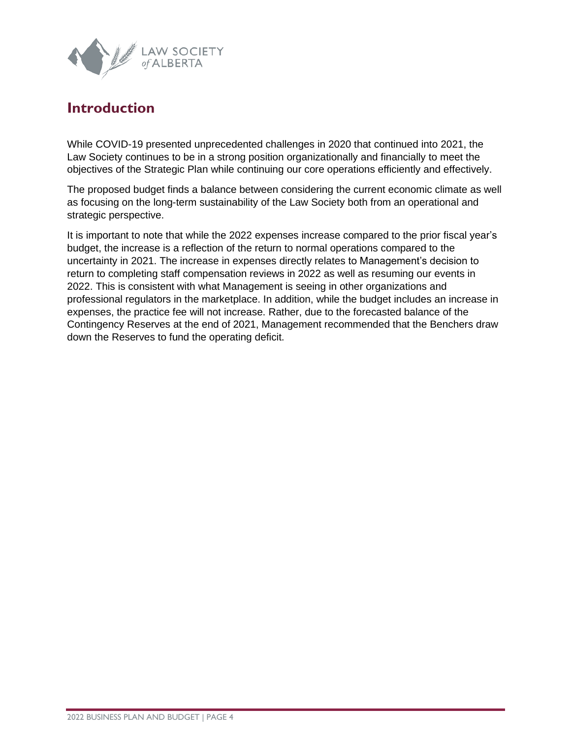

## <span id="page-3-0"></span>**Introduction**

While COVID-19 presented unprecedented challenges in 2020 that continued into 2021, the Law Society continues to be in a strong position organizationally and financially to meet the objectives of the Strategic Plan while continuing our core operations efficiently and effectively.

The proposed budget finds a balance between considering the current economic climate as well as focusing on the long-term sustainability of the Law Society both from an operational and strategic perspective.

It is important to note that while the 2022 expenses increase compared to the prior fiscal year's budget, the increase is a reflection of the return to normal operations compared to the uncertainty in 2021. The increase in expenses directly relates to Management's decision to return to completing staff compensation reviews in 2022 as well as resuming our events in 2022. This is consistent with what Management is seeing in other organizations and professional regulators in the marketplace. In addition, while the budget includes an increase in expenses, the practice fee will not increase. Rather, due to the forecasted balance of the Contingency Reserves at the end of 2021, Management recommended that the Benchers draw down the Reserves to fund the operating deficit.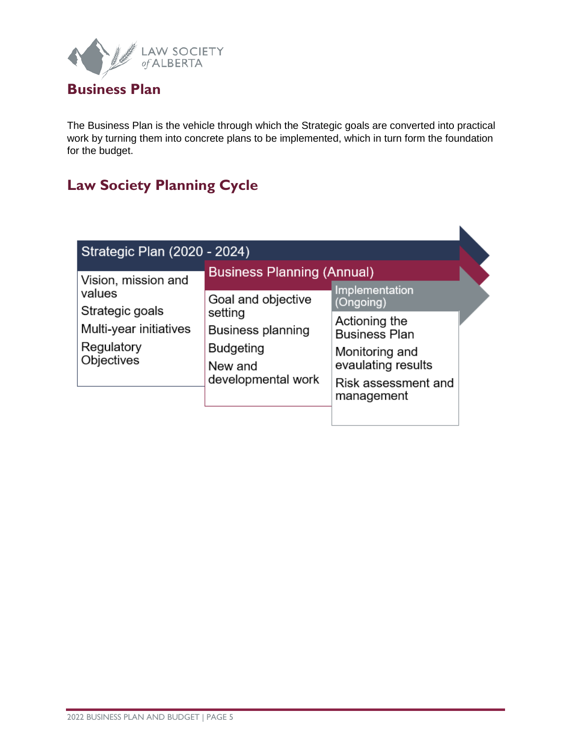

## <span id="page-4-0"></span>**Business Plan**

The Business Plan is the vehicle through which the Strategic goals are converted into practical work by turning them into concrete plans to be implemented, which in turn form the foundation for the budget.

# **Law Society Planning Cycle**

| Strategic Plan (2020 - 2024) |                                   |                                   |  |
|------------------------------|-----------------------------------|-----------------------------------|--|
| Vision, mission and          | <b>Business Planning (Annual)</b> | <b>Implementation</b>             |  |
| values                       | Goal and objective                | (Ongoing)                         |  |
| Strategic goals              | setting                           | Actioning the                     |  |
| Multi-year initiatives       | Business planning                 | <b>Business Plan</b>              |  |
| Regulatory                   | <b>Budgeting</b>                  | Monitoring and                    |  |
| Objectives                   | New and                           | evaulating results                |  |
|                              | developmental work                | Risk assessment and<br>management |  |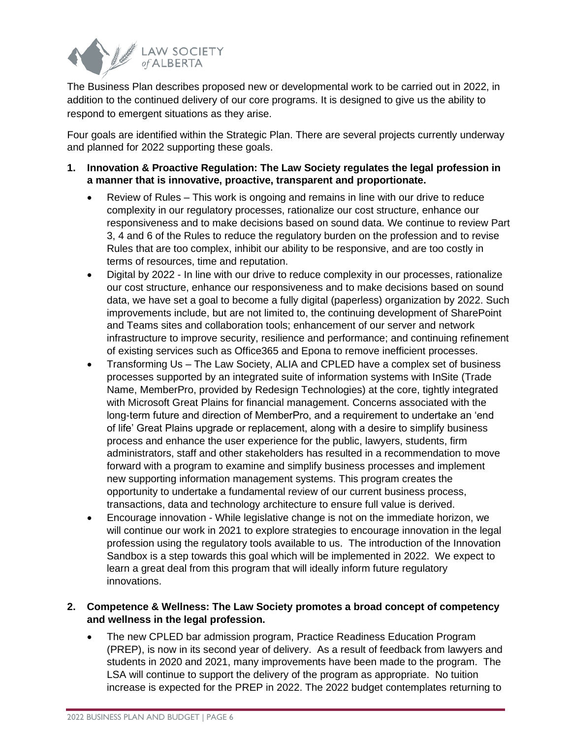

The Business Plan describes proposed new or developmental work to be carried out in 2022, in addition to the continued delivery of our core programs. It is designed to give us the ability to respond to emergent situations as they arise.

Four goals are identified within the Strategic Plan. There are several projects currently underway and planned for 2022 supporting these goals.

- **1. Innovation & Proactive Regulation: The Law Society regulates the legal profession in a manner that is innovative, proactive, transparent and proportionate.**
	- Review of Rules This work is ongoing and remains in line with our drive to reduce complexity in our regulatory processes, rationalize our cost structure, enhance our responsiveness and to make decisions based on sound data. We continue to review Part 3, 4 and 6 of the Rules to reduce the regulatory burden on the profession and to revise Rules that are too complex, inhibit our ability to be responsive, and are too costly in terms of resources, time and reputation.
	- Digital by 2022 In line with our drive to reduce complexity in our processes, rationalize our cost structure, enhance our responsiveness and to make decisions based on sound data, we have set a goal to become a fully digital (paperless) organization by 2022. Such improvements include, but are not limited to, the continuing development of SharePoint and Teams sites and collaboration tools; enhancement of our server and network infrastructure to improve security, resilience and performance; and continuing refinement of existing services such as Office365 and Epona to remove inefficient processes.
	- Transforming Us The Law Society, ALIA and CPLED have a complex set of business processes supported by an integrated suite of information systems with InSite (Trade Name, MemberPro, provided by Redesign Technologies) at the core, tightly integrated with Microsoft Great Plains for financial management. Concerns associated with the long-term future and direction of MemberPro, and a requirement to undertake an 'end of life' Great Plains upgrade or replacement, along with a desire to simplify business process and enhance the user experience for the public, lawyers, students, firm administrators, staff and other stakeholders has resulted in a recommendation to move forward with a program to examine and simplify business processes and implement new supporting information management systems. This program creates the opportunity to undertake a fundamental review of our current business process, transactions, data and technology architecture to ensure full value is derived.
	- Encourage innovation While legislative change is not on the immediate horizon, we will continue our work in 2021 to explore strategies to encourage innovation in the legal profession using the regulatory tools available to us. The introduction of the Innovation Sandbox is a step towards this goal which will be implemented in 2022. We expect to learn a great deal from this program that will ideally inform future regulatory innovations.

#### **2. Competence & Wellness: The Law Society promotes a broad concept of competency and wellness in the legal profession.**

• The new CPLED bar admission program, Practice Readiness Education Program (PREP), is now in its second year of delivery. As a result of feedback from lawyers and students in 2020 and 2021, many improvements have been made to the program. The LSA will continue to support the delivery of the program as appropriate. No tuition increase is expected for the PREP in 2022. The 2022 budget contemplates returning to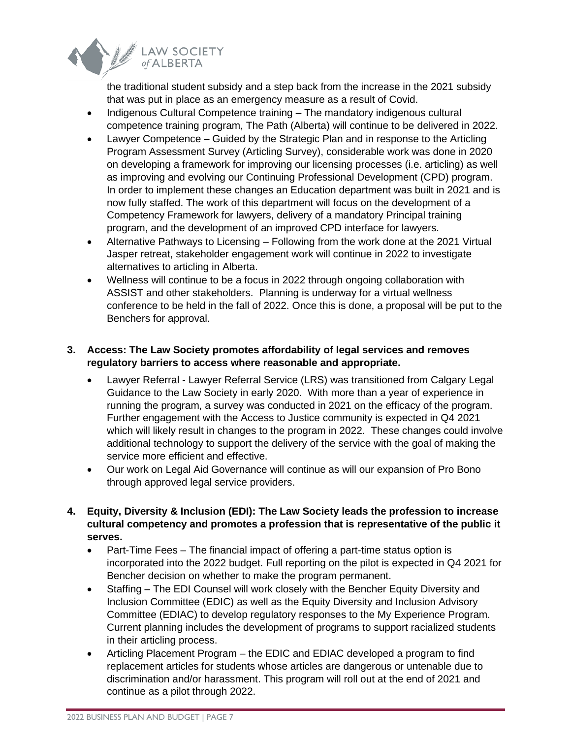

the traditional student subsidy and a step back from the increase in the 2021 subsidy that was put in place as an emergency measure as a result of Covid.

- Indigenous Cultural Competence training The mandatory indigenous cultural competence training program, The Path (Alberta) will continue to be delivered in 2022.
- Lawyer Competence Guided by the Strategic Plan and in response to the Articling Program Assessment Survey (Articling Survey), considerable work was done in 2020 on developing a framework for improving our licensing processes (i.e. articling) as well as improving and evolving our Continuing Professional Development (CPD) program. In order to implement these changes an Education department was built in 2021 and is now fully staffed. The work of this department will focus on the development of a Competency Framework for lawyers, delivery of a mandatory Principal training program, and the development of an improved CPD interface for lawyers.
- Alternative Pathways to Licensing Following from the work done at the 2021 Virtual Jasper retreat, stakeholder engagement work will continue in 2022 to investigate alternatives to articling in Alberta.
- Wellness will continue to be a focus in 2022 through ongoing collaboration with ASSIST and other stakeholders. Planning is underway for a virtual wellness conference to be held in the fall of 2022. Once this is done, a proposal will be put to the Benchers for approval.

#### **3. Access: The Law Society promotes affordability of legal services and removes regulatory barriers to access where reasonable and appropriate.**

- Lawyer Referral Lawyer Referral Service (LRS) was transitioned from Calgary Legal Guidance to the Law Society in early 2020. With more than a year of experience in running the program, a survey was conducted in 2021 on the efficacy of the program. Further engagement with the Access to Justice community is expected in Q4 2021 which will likely result in changes to the program in 2022. These changes could involve additional technology to support the delivery of the service with the goal of making the service more efficient and effective.
- Our work on Legal Aid Governance will continue as will our expansion of Pro Bono through approved legal service providers.
- **4. Equity, Diversity & Inclusion (EDI): The Law Society leads the profession to increase cultural competency and promotes a profession that is representative of the public it serves.**
	- Part-Time Fees The financial impact of offering a part-time status option is incorporated into the 2022 budget. Full reporting on the pilot is expected in Q4 2021 for Bencher decision on whether to make the program permanent.
	- Staffing The EDI Counsel will work closely with the Bencher Equity Diversity and Inclusion Committee (EDIC) as well as the Equity Diversity and Inclusion Advisory Committee (EDIAC) to develop regulatory responses to the My Experience Program. Current planning includes the development of programs to support racialized students in their articling process.
	- Articling Placement Program the EDIC and EDIAC developed a program to find replacement articles for students whose articles are dangerous or untenable due to discrimination and/or harassment. This program will roll out at the end of 2021 and continue as a pilot through 2022.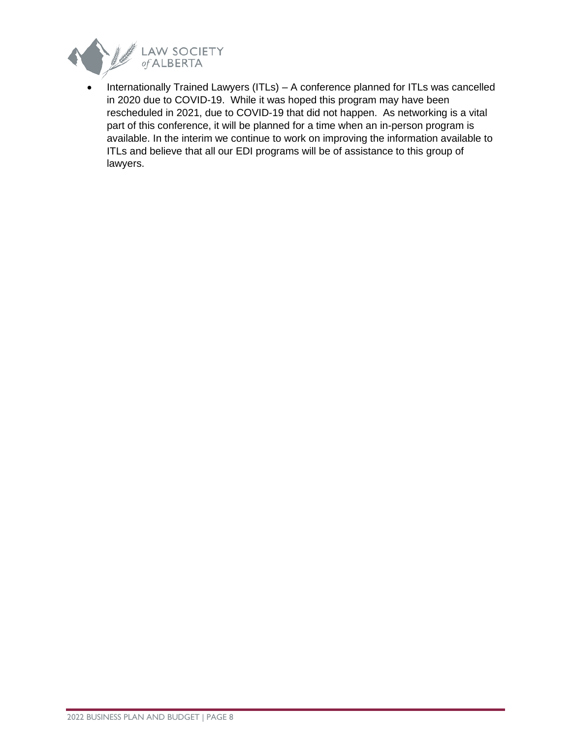

• Internationally Trained Lawyers (ITLs) – A conference planned for ITLs was cancelled in 2020 due to COVID-19. While it was hoped this program may have been rescheduled in 2021, due to COVID-19 that did not happen. As networking is a vital part of this conference, it will be planned for a time when an in-person program is available. In the interim we continue to work on improving the information available to ITLs and believe that all our EDI programs will be of assistance to this group of lawyers.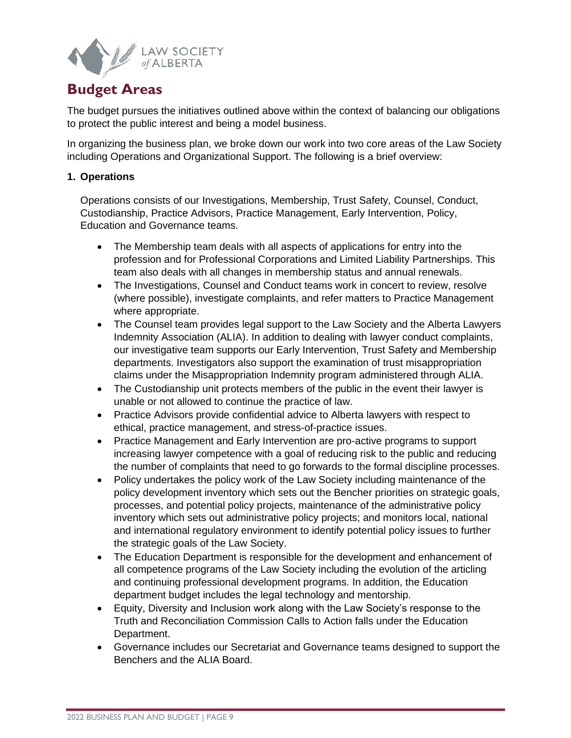

## <span id="page-8-0"></span>**Budget Areas**

The budget pursues the initiatives outlined above within the context of balancing our obligations to protect the public interest and being a model business.

In organizing the business plan, we broke down our work into two core areas of the Law Society including Operations and Organizational Support. The following is a brief overview:

#### **1. Operations**

Operations consists of our Investigations, Membership, Trust Safety, Counsel, Conduct, Custodianship, Practice Advisors, Practice Management, Early Intervention, Policy, Education and Governance teams.

- The Membership team deals with all aspects of applications for entry into the profession and for Professional Corporations and Limited Liability Partnerships. This team also deals with all changes in membership status and annual renewals.
- The Investigations, Counsel and Conduct teams work in concert to review, resolve (where possible), investigate complaints, and refer matters to Practice Management where appropriate.
- The Counsel team provides legal support to the Law Society and the Alberta Lawyers Indemnity Association (ALIA). In addition to dealing with lawyer conduct complaints, our investigative team supports our Early Intervention, Trust Safety and Membership departments. Investigators also support the examination of trust misappropriation claims under the Misappropriation Indemnity program administered through ALIA.
- The Custodianship unit protects members of the public in the event their lawyer is unable or not allowed to continue the practice of law.
- Practice Advisors provide confidential advice to Alberta lawyers with respect to ethical, practice management, and stress-of-practice issues.
- Practice Management and Early Intervention are pro-active programs to support increasing lawyer competence with a goal of reducing risk to the public and reducing the number of complaints that need to go forwards to the formal discipline processes.
- Policy undertakes the policy work of the Law Society including maintenance of the policy development inventory which sets out the Bencher priorities on strategic goals, processes, and potential policy projects, maintenance of the administrative policy inventory which sets out administrative policy projects; and monitors local, national and international regulatory environment to identify potential policy issues to further the strategic goals of the Law Society.
- The Education Department is responsible for the development and enhancement of all competence programs of the Law Society including the evolution of the articling and continuing professional development programs. In addition, the Education department budget includes the legal technology and mentorship.
- Equity, Diversity and Inclusion work along with the Law Society's response to the Truth and Reconciliation Commission Calls to Action falls under the Education Department.
- Governance includes our Secretariat and Governance teams designed to support the Benchers and the ALIA Board.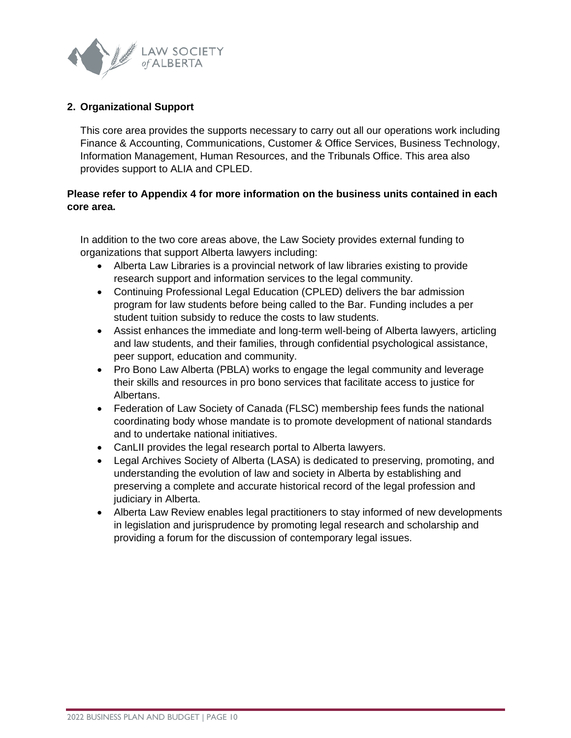

#### **2. Organizational Support**

This core area provides the supports necessary to carry out all our operations work including Finance & Accounting, Communications, Customer & Office Services, Business Technology, Information Management, Human Resources, and the Tribunals Office. This area also provides support to ALIA and CPLED.

#### **Please refer to Appendix 4 for more information on the business units contained in each core area.**

In addition to the two core areas above, the Law Society provides external funding to organizations that support Alberta lawyers including:

- Alberta Law Libraries is a provincial network of law libraries existing to provide research support and information services to the legal community.
- Continuing Professional Legal Education (CPLED) delivers the bar admission program for law students before being called to the Bar. Funding includes a per student tuition subsidy to reduce the costs to law students.
- Assist enhances the immediate and long-term well-being of Alberta lawyers, articling and law students, and their families, through confidential psychological assistance, peer support, education and community.
- Pro Bono Law Alberta (PBLA) works to engage the legal community and leverage their skills and resources in pro bono services that facilitate access to justice for Albertans.
- Federation of Law Society of Canada (FLSC) membership fees funds the national coordinating body whose mandate is to promote development of national standards and to undertake national initiatives.
- CanLII provides the legal research portal to Alberta lawyers.
- Legal Archives Society of Alberta (LASA) is dedicated to preserving, promoting, and understanding the evolution of law and society in Alberta by establishing and preserving a complete and accurate historical record of the legal profession and judiciary in Alberta.
- Alberta Law Review enables legal practitioners to stay informed of new developments in legislation and jurisprudence by promoting legal research and scholarship and providing a forum for the discussion of contemporary legal issues.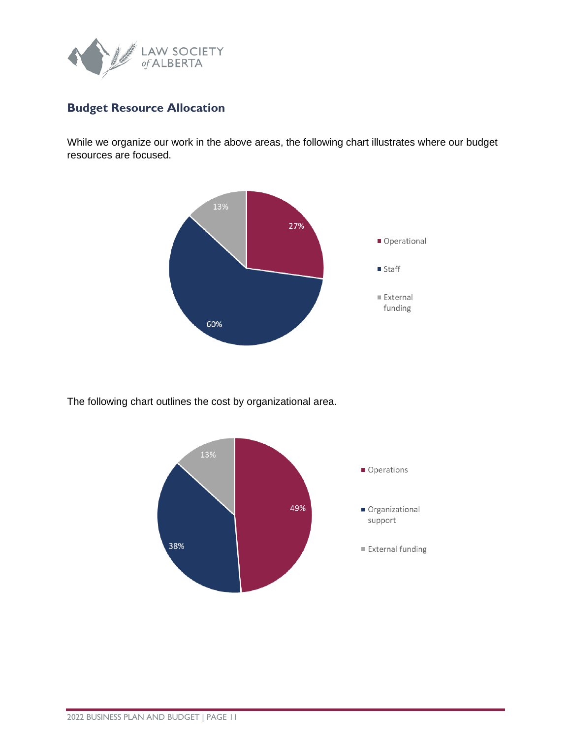

## <span id="page-10-0"></span>**Budget Resource Allocation**

While we organize our work in the above areas, the following chart illustrates where our budget resources are focused.



The following chart outlines the cost by organizational area.

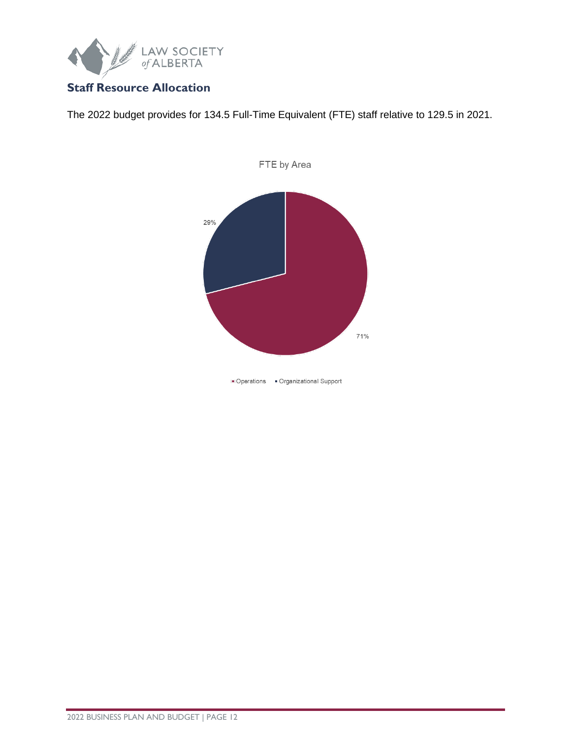

## <span id="page-11-0"></span>**Staff Resource Allocation**

The 2022 budget provides for 134.5 Full-Time Equivalent (FTE) staff relative to 129.5 in 2021.



· Operations · Organizational Support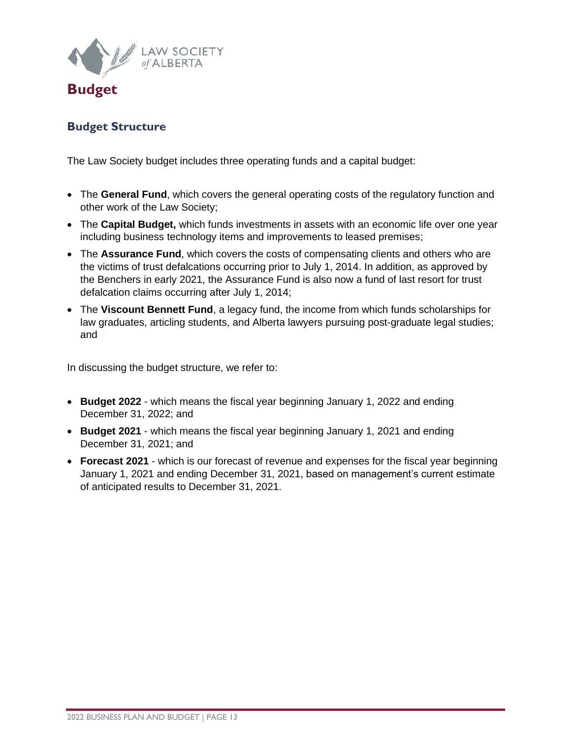

## <span id="page-12-1"></span><span id="page-12-0"></span>**Budget Structure**

The Law Society budget includes three operating funds and a capital budget:

- The **General Fund**, which covers the general operating costs of the regulatory function and other work of the Law Society;
- The **Capital Budget,** which funds investments in assets with an economic life over one year including business technology items and improvements to leased premises;
- The **Assurance Fund**, which covers the costs of compensating clients and others who are the victims of trust defalcations occurring prior to July 1, 2014. In addition, as approved by the Benchers in early 2021, the Assurance Fund is also now a fund of last resort for trust defalcation claims occurring after July 1, 2014;
- The **Viscount Bennett Fund**, a legacy fund, the income from which funds scholarships for law graduates, articling students, and Alberta lawyers pursuing post-graduate legal studies; and

In discussing the budget structure, we refer to:

- **Budget 2022** which means the fiscal year beginning January 1, 2022 and ending December 31, 2022; and
- **Budget 2021** which means the fiscal year beginning January 1, 2021 and ending December 31, 2021; and
- **Forecast 2021** which is our forecast of revenue and expenses for the fiscal year beginning January 1, 2021 and ending December 31, 2021, based on management's current estimate of anticipated results to December 31, 2021.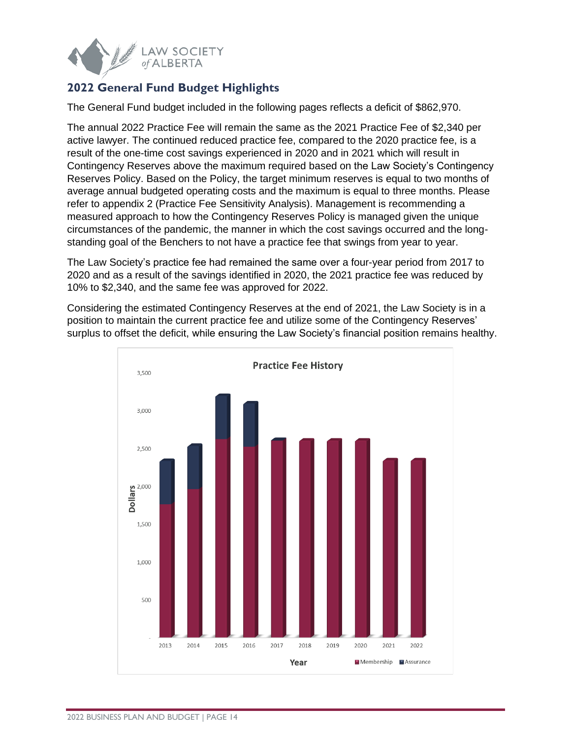

## <span id="page-13-0"></span>**2022 General Fund Budget Highlights**

The General Fund budget included in the following pages reflects a deficit of \$862,970.

The annual 2022 Practice Fee will remain the same as the 2021 Practice Fee of \$2,340 per active lawyer. The continued reduced practice fee, compared to the 2020 practice fee, is a result of the one-time cost savings experienced in 2020 and in 2021 which will result in Contingency Reserves above the maximum required based on the Law Society's Contingency Reserves Policy. Based on the Policy, the target minimum reserves is equal to two months of average annual budgeted operating costs and the maximum is equal to three months. Please refer to appendix 2 (Practice Fee Sensitivity Analysis). Management is recommending a measured approach to how the Contingency Reserves Policy is managed given the unique circumstances of the pandemic, the manner in which the cost savings occurred and the longstanding goal of the Benchers to not have a practice fee that swings from year to year.

The Law Society's practice fee had remained the same over a four-year period from 2017 to 2020 and as a result of the savings identified in 2020, the 2021 practice fee was reduced by 10% to \$2,340, and the same fee was approved for 2022.

Considering the estimated Contingency Reserves at the end of 2021, the Law Society is in a position to maintain the current practice fee and utilize some of the Contingency Reserves' surplus to offset the deficit, while ensuring the Law Society's financial position remains healthy.

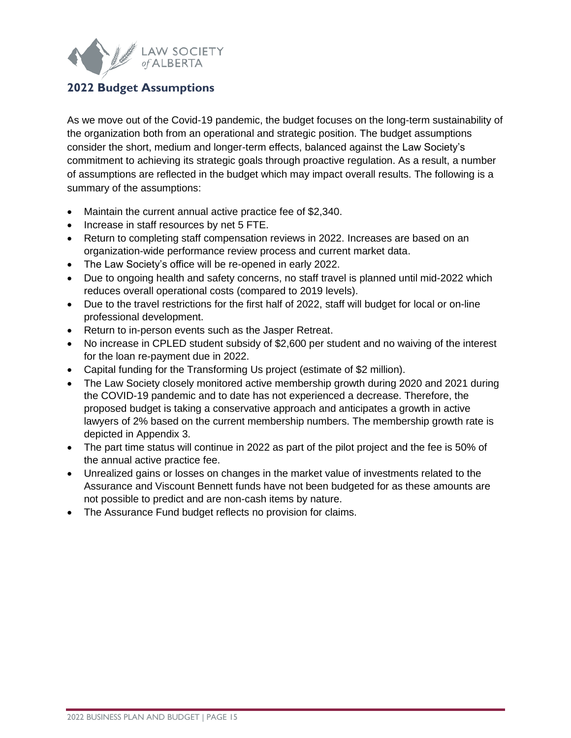

## <span id="page-14-0"></span>**2022 Budget Assumptions**

As we move out of the Covid-19 pandemic, the budget focuses on the long-term sustainability of the organization both from an operational and strategic position. The budget assumptions consider the short, medium and longer-term effects, balanced against the Law Society's commitment to achieving its strategic goals through proactive regulation. As a result, a number of assumptions are reflected in the budget which may impact overall results. The following is a summary of the assumptions:

- Maintain the current annual active practice fee of \$2,340.
- Increase in staff resources by net 5 FTE.
- Return to completing staff compensation reviews in 2022. Increases are based on an organization-wide performance review process and current market data.
- The Law Society's office will be re-opened in early 2022.
- Due to ongoing health and safety concerns, no staff travel is planned until mid-2022 which reduces overall operational costs (compared to 2019 levels).
- Due to the travel restrictions for the first half of 2022, staff will budget for local or on-line professional development.
- Return to in-person events such as the Jasper Retreat.
- No increase in CPLED student subsidy of \$2,600 per student and no waiving of the interest for the loan re-payment due in 2022.
- Capital funding for the Transforming Us project (estimate of \$2 million).
- The Law Society closely monitored active membership growth during 2020 and 2021 during the COVID-19 pandemic and to date has not experienced a decrease. Therefore, the proposed budget is taking a conservative approach and anticipates a growth in active lawyers of 2% based on the current membership numbers. The membership growth rate is depicted in Appendix 3.
- The part time status will continue in 2022 as part of the pilot project and the fee is 50% of the annual active practice fee.
- Unrealized gains or losses on changes in the market value of investments related to the Assurance and Viscount Bennett funds have not been budgeted for as these amounts are not possible to predict and are non-cash items by nature.
- The Assurance Fund budget reflects no provision for claims.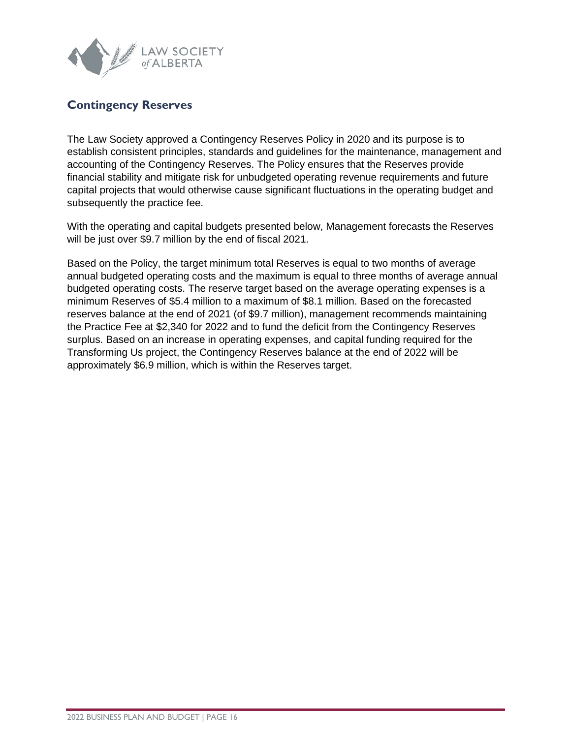

## <span id="page-15-0"></span>**Contingency Reserves**

The Law Society approved a Contingency Reserves Policy in 2020 and its purpose is to establish consistent principles, standards and guidelines for the maintenance, management and accounting of the Contingency Reserves. The Policy ensures that the Reserves provide financial stability and mitigate risk for unbudgeted operating revenue requirements and future capital projects that would otherwise cause significant fluctuations in the operating budget and subsequently the practice fee.

With the operating and capital budgets presented below, Management forecasts the Reserves will be just over \$9.7 million by the end of fiscal 2021.

Based on the Policy, the target minimum total Reserves is equal to two months of average annual budgeted operating costs and the maximum is equal to three months of average annual budgeted operating costs. The reserve target based on the average operating expenses is a minimum Reserves of \$5.4 million to a maximum of \$8.1 million. Based on the forecasted reserves balance at the end of 2021 (of \$9.7 million), management recommends maintaining the Practice Fee at \$2,340 for 2022 and to fund the deficit from the Contingency Reserves surplus. Based on an increase in operating expenses, and capital funding required for the Transforming Us project, the Contingency Reserves balance at the end of 2022 will be approximately \$6.9 million, which is within the Reserves target.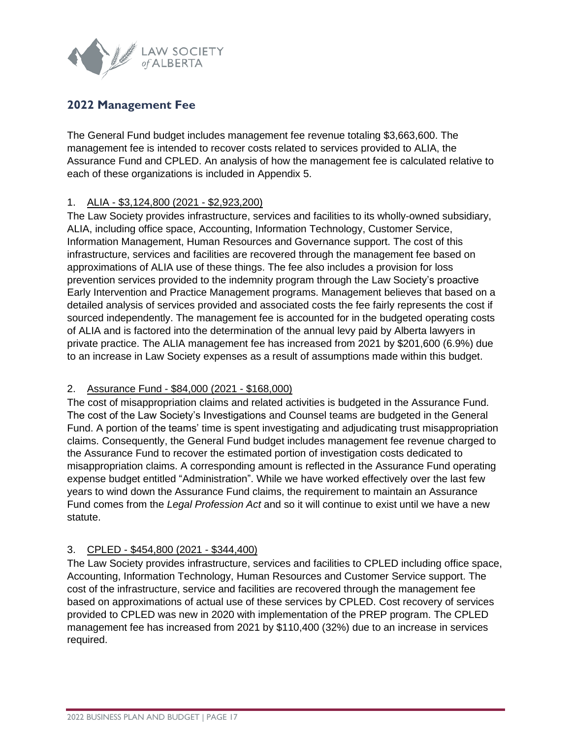

## <span id="page-16-0"></span>**2022 Management Fee**

The General Fund budget includes management fee revenue totaling \$3,663,600. The management fee is intended to recover costs related to services provided to ALIA, the Assurance Fund and CPLED. An analysis of how the management fee is calculated relative to each of these organizations is included in Appendix 5.

#### 1. ALIA - \$3,124,800 (2021 - \$2,923,200)

The Law Society provides infrastructure, services and facilities to its wholly-owned subsidiary, ALIA, including office space, Accounting, Information Technology, Customer Service, Information Management, Human Resources and Governance support. The cost of this infrastructure, services and facilities are recovered through the management fee based on approximations of ALIA use of these things. The fee also includes a provision for loss prevention services provided to the indemnity program through the Law Society's proactive Early Intervention and Practice Management programs. Management believes that based on a detailed analysis of services provided and associated costs the fee fairly represents the cost if sourced independently. The management fee is accounted for in the budgeted operating costs of ALIA and is factored into the determination of the annual levy paid by Alberta lawyers in private practice. The ALIA management fee has increased from 2021 by \$201,600 (6.9%) due to an increase in Law Society expenses as a result of assumptions made within this budget.

#### 2. Assurance Fund - \$84,000 (2021 - \$168,000)

The cost of misappropriation claims and related activities is budgeted in the Assurance Fund. The cost of the Law Society's Investigations and Counsel teams are budgeted in the General Fund. A portion of the teams' time is spent investigating and adjudicating trust misappropriation claims. Consequently, the General Fund budget includes management fee revenue charged to the Assurance Fund to recover the estimated portion of investigation costs dedicated to misappropriation claims. A corresponding amount is reflected in the Assurance Fund operating expense budget entitled "Administration". While we have worked effectively over the last few years to wind down the Assurance Fund claims, the requirement to maintain an Assurance Fund comes from the *Legal Profession Act* and so it will continue to exist until we have a new statute.

#### 3. CPLED - \$454,800 (2021 - \$344,400)

The Law Society provides infrastructure, services and facilities to CPLED including office space, Accounting, Information Technology, Human Resources and Customer Service support. The cost of the infrastructure, service and facilities are recovered through the management fee based on approximations of actual use of these services by CPLED. Cost recovery of services provided to CPLED was new in 2020 with implementation of the PREP program. The CPLED management fee has increased from 2021 by \$110,400 (32%) due to an increase in services required.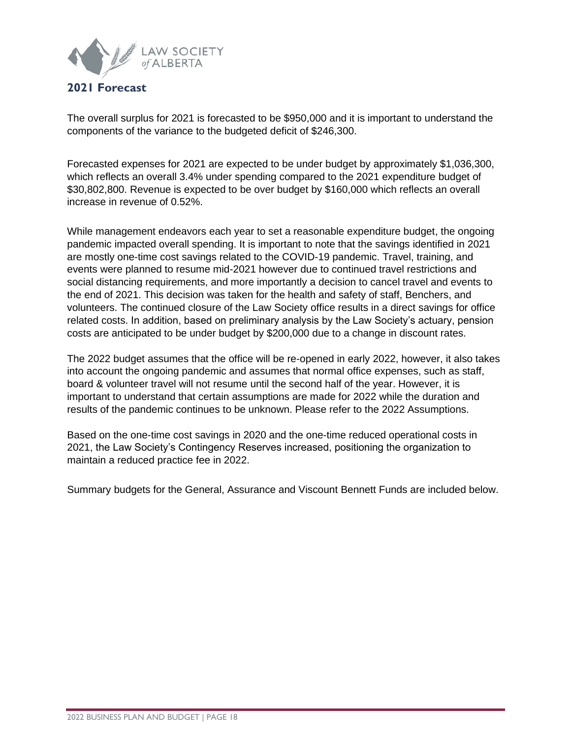

#### <span id="page-17-0"></span>**2021 Forecast**

The overall surplus for 2021 is forecasted to be \$950,000 and it is important to understand the components of the variance to the budgeted deficit of \$246,300.

Forecasted expenses for 2021 are expected to be under budget by approximately \$1,036,300, which reflects an overall 3.4% under spending compared to the 2021 expenditure budget of \$30,802,800. Revenue is expected to be over budget by \$160,000 which reflects an overall increase in revenue of 0.52%.

While management endeavors each year to set a reasonable expenditure budget, the ongoing pandemic impacted overall spending. It is important to note that the savings identified in 2021 are mostly one-time cost savings related to the COVID-19 pandemic. Travel, training, and events were planned to resume mid-2021 however due to continued travel restrictions and social distancing requirements, and more importantly a decision to cancel travel and events to the end of 2021. This decision was taken for the health and safety of staff, Benchers, and volunteers. The continued closure of the Law Society office results in a direct savings for office related costs. In addition, based on preliminary analysis by the Law Society's actuary, pension costs are anticipated to be under budget by \$200,000 due to a change in discount rates.

The 2022 budget assumes that the office will be re-opened in early 2022, however, it also takes into account the ongoing pandemic and assumes that normal office expenses, such as staff, board & volunteer travel will not resume until the second half of the year. However, it is important to understand that certain assumptions are made for 2022 while the duration and results of the pandemic continues to be unknown. Please refer to the 2022 Assumptions.

Based on the one-time cost savings in 2020 and the one-time reduced operational costs in 2021, the Law Society's Contingency Reserves increased, positioning the organization to maintain a reduced practice fee in 2022.

Summary budgets for the General, Assurance and Viscount Bennett Funds are included below.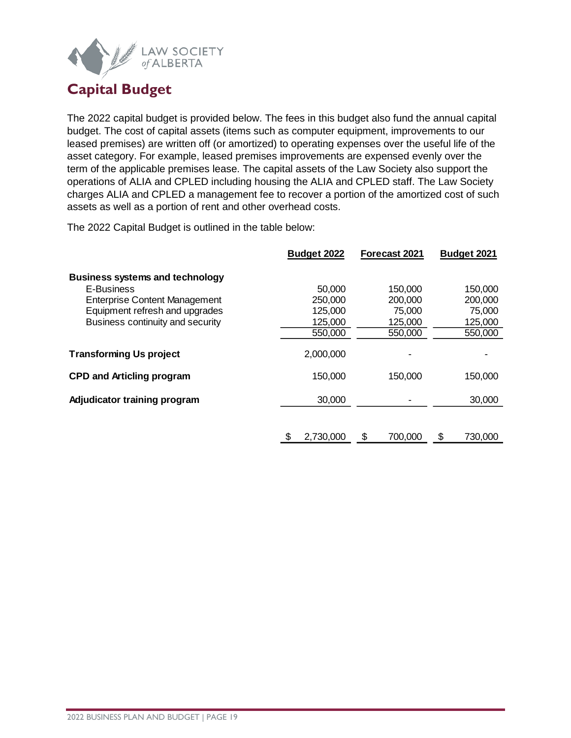

# <span id="page-18-0"></span>**Capital Budget**

The 2022 capital budget is provided below. The fees in this budget also fund the annual capital budget. The cost of capital assets (items such as computer equipment, improvements to our leased premises) are written off (or amortized) to operating expenses over the useful life of the asset category. For example, leased premises improvements are expensed evenly over the term of the applicable premises lease. The capital assets of the Law Society also support the operations of ALIA and CPLED including housing the ALIA and CPLED staff. The Law Society charges ALIA and CPLED a management fee to recover a portion of the amortized cost of such assets as well as a portion of rent and other overhead costs.

The 2022 Capital Budget is outlined in the table below:

|                                        | Budget 2022    | Forecast 2021 | Budget 2021   |
|----------------------------------------|----------------|---------------|---------------|
| <b>Business systems and technology</b> |                |               |               |
| E-Business                             | 50,000         | 150,000       | 150,000       |
| <b>Enterprise Content Management</b>   | 250,000        | 200,000       | 200,000       |
| Equipment refresh and upgrades         | 125,000        | 75,000        | 75,000        |
| Business continuity and security       | 125,000        | 125,000       | 125,000       |
|                                        | 550,000        | 550,000       | 550,000       |
| <b>Transforming Us project</b>         | 2,000,000      |               |               |
| <b>CPD and Articling program</b>       | 150,000        | 150,000       | 150,000       |
| Adjudicator training program           | 30,000         |               | 30,000        |
|                                        |                |               |               |
|                                        | 2,730,000<br>S | \$<br>700,000 | \$<br>730,000 |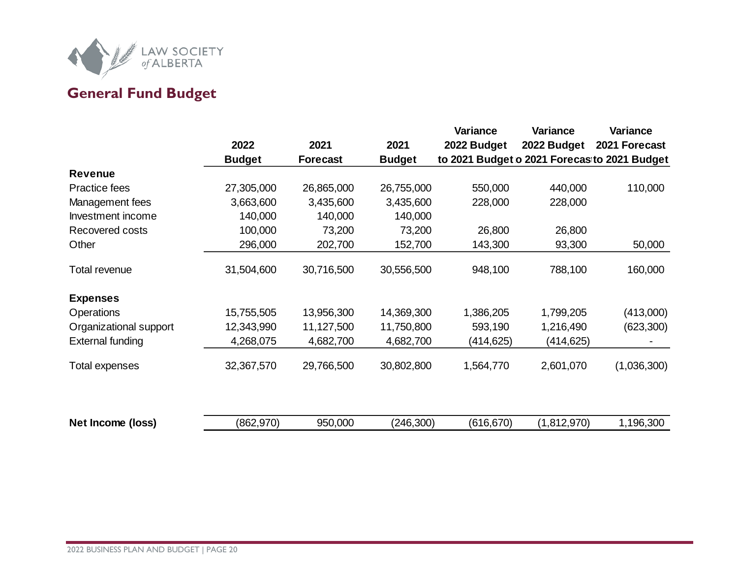

# **General Fund Budget**

<span id="page-19-0"></span>

|                         | 2022<br><b>Budget</b> | 2021<br><b>Forecast</b> | 2021<br><b>Budget</b> | Variance<br>2022 Budget | <b>Variance</b><br>2022 Budget | Variance<br>2021 Forecast<br>to 2021 Budget o 2021 Forecasito 2021 Budget |
|-------------------------|-----------------------|-------------------------|-----------------------|-------------------------|--------------------------------|---------------------------------------------------------------------------|
| <b>Revenue</b>          |                       |                         |                       |                         |                                |                                                                           |
| Practice fees           | 27,305,000            | 26,865,000              | 26,755,000            | 550,000                 | 440,000                        | 110,000                                                                   |
| Management fees         | 3,663,600             | 3,435,600               | 3,435,600             | 228,000                 | 228,000                        |                                                                           |
| Investment income       | 140,000               | 140,000                 | 140,000               |                         |                                |                                                                           |
| Recovered costs         | 100,000               | 73,200                  | 73,200                | 26,800                  | 26,800                         |                                                                           |
| Other                   | 296,000               | 202,700                 | 152,700               | 143,300                 | 93,300                         | 50,000                                                                    |
| Total revenue           | 31,504,600            | 30,716,500              | 30,556,500            | 948,100                 | 788,100                        | 160,000                                                                   |
| <b>Expenses</b>         |                       |                         |                       |                         |                                |                                                                           |
| <b>Operations</b>       | 15,755,505            | 13,956,300              | 14,369,300            | 1,386,205               | 1,799,205                      | (413,000)                                                                 |
| Organizational support  | 12,343,990            | 11,127,500              | 11,750,800            | 593,190                 | 1,216,490                      | (623, 300)                                                                |
| <b>External funding</b> | 4,268,075             | 4,682,700               | 4,682,700             | (414,625)               | (414,625)                      |                                                                           |
| Total expenses          | 32,367,570            | 29,766,500              | 30,802,800            | 1,564,770               | 2,601,070                      | (1,036,300)                                                               |
| Net Income (loss)       | (862, 970)            | 950,000                 | (246, 300)            | (616, 670)              | (1,812,970)                    | 1,196,300                                                                 |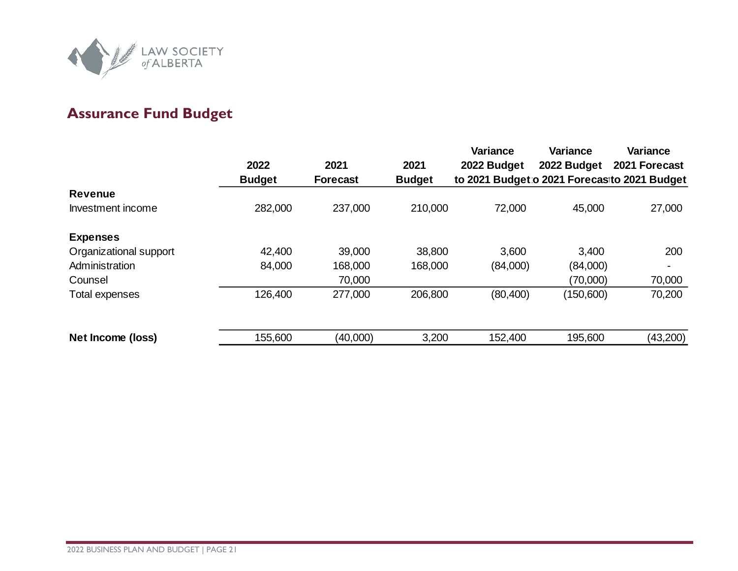

# **Assurance Fund Budget**

<span id="page-20-0"></span>

|                        |               |                 |               | <b>Variance</b>                             | <b>Variance</b> | Variance      |
|------------------------|---------------|-----------------|---------------|---------------------------------------------|-----------------|---------------|
|                        | 2022          | 2021            | 2021          | 2022 Budget                                 | 2022 Budget     | 2021 Forecast |
|                        | <b>Budget</b> | <b>Forecast</b> | <b>Budget</b> | to 2021 Budget o 2021 Forecasto 2021 Budget |                 |               |
| <b>Revenue</b>         |               |                 |               |                                             |                 |               |
| Investment income      | 282,000       | 237,000         | 210,000       | 72,000                                      | 45,000          | 27,000        |
| <b>Expenses</b>        |               |                 |               |                                             |                 |               |
| Organizational support | 42,400        | 39,000          | 38,800        | 3,600                                       | 3,400           | 200           |
| Administration         | 84,000        | 168,000         | 168,000       | (84,000)                                    | (84,000)        |               |
| Counsel                |               | 70,000          |               |                                             | (70,000)        | 70,000        |
| Total expenses         | 126,400       | 277,000         | 206,800       | (80, 400)                                   | (150,600)       | 70,200        |
|                        |               |                 |               |                                             |                 |               |
| Net Income (loss)      | 155,600       | (40,000)        | 3,200         | 152,400                                     | 195,600         | (43,200)      |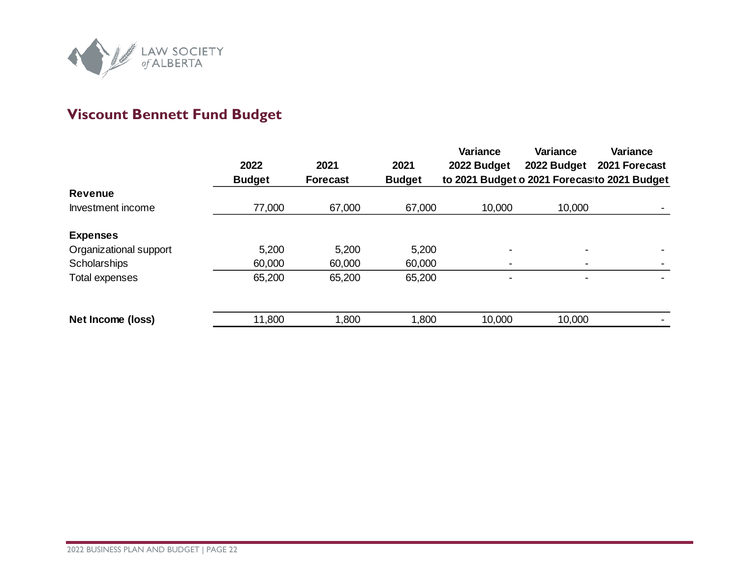

# **Viscount Bennett Fund Budget**

<span id="page-21-0"></span>

|                        | 2022<br><b>Budget</b> | 2021<br><b>Forecast</b> | 2021<br><b>Budget</b> | <b>Variance</b><br>2022 Budget | <b>Variance</b><br>2022 Budget | <b>Variance</b><br>2021 Forecast<br>to 2021 Budget o 2021 Forecasto 2021 Budget |
|------------------------|-----------------------|-------------------------|-----------------------|--------------------------------|--------------------------------|---------------------------------------------------------------------------------|
| <b>Revenue</b>         |                       |                         |                       |                                |                                |                                                                                 |
| Investment income      | 77,000                | 67,000                  | 67,000                | 10,000                         | 10,000                         |                                                                                 |
| <b>Expenses</b>        |                       |                         |                       |                                |                                |                                                                                 |
| Organizational support | 5,200                 | 5,200                   | 5,200                 |                                | ۰                              |                                                                                 |
| Scholarships           | 60,000                | 60,000                  | 60,000                |                                | $\overline{\phantom{0}}$       |                                                                                 |
| Total expenses         | 65,200                | 65,200                  | 65,200                |                                | $\overline{\phantom{0}}$       |                                                                                 |
|                        |                       |                         |                       |                                |                                |                                                                                 |
| Net Income (loss)      | 11,800                | 1,800                   | 1,800                 | 10,000                         | 10,000                         |                                                                                 |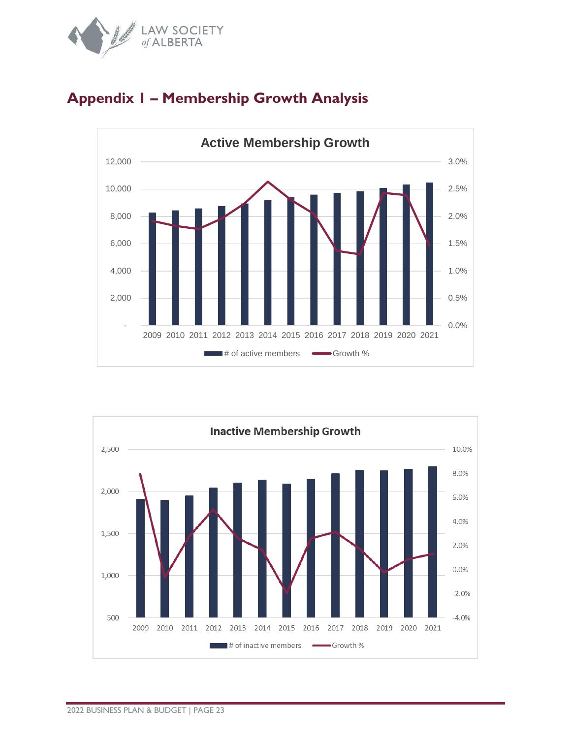



## <span id="page-22-0"></span>**Appendix 1 – Membership Growth Analysis**

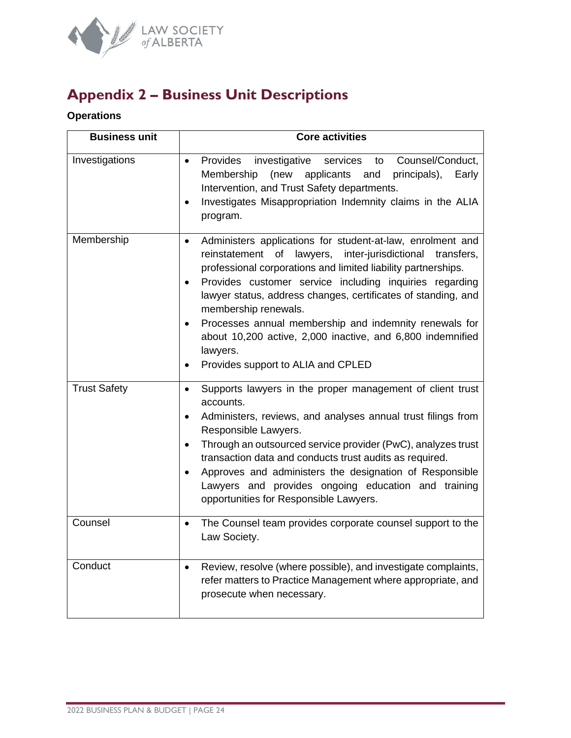

# <span id="page-23-0"></span>**Appendix 2 – Business Unit Descriptions**

## **Operations**

| <b>Business unit</b> | <b>Core activities</b>                                                                                                                                                                                                                                                                                                                                                                                                                                                                                                                                                    |
|----------------------|---------------------------------------------------------------------------------------------------------------------------------------------------------------------------------------------------------------------------------------------------------------------------------------------------------------------------------------------------------------------------------------------------------------------------------------------------------------------------------------------------------------------------------------------------------------------------|
| Investigations       | Provides<br>investigative<br>Counsel/Conduct,<br>services<br>to<br>$\bullet$<br>(new<br>applicants and<br>Membership<br>principals),<br>Early<br>Intervention, and Trust Safety departments.<br>Investigates Misappropriation Indemnity claims in the ALIA<br>٠<br>program.                                                                                                                                                                                                                                                                                               |
| Membership           | Administers applications for student-at-law, enrolment and<br>$\bullet$<br>lawyers,<br>inter-jurisdictional<br>reinstatement<br>of<br>transfers,<br>professional corporations and limited liability partnerships.<br>Provides customer service including inquiries regarding<br>$\bullet$<br>lawyer status, address changes, certificates of standing, and<br>membership renewals.<br>Processes annual membership and indemnity renewals for<br>$\bullet$<br>about 10,200 active, 2,000 inactive, and 6,800 indemnified<br>lawyers.<br>Provides support to ALIA and CPLED |
| <b>Trust Safety</b>  | Supports lawyers in the proper management of client trust<br>$\bullet$<br>accounts.<br>Administers, reviews, and analyses annual trust filings from<br>٠<br>Responsible Lawyers.<br>Through an outsourced service provider (PwC), analyzes trust<br>٠<br>transaction data and conducts trust audits as required.<br>Approves and administers the designation of Responsible<br>$\bullet$<br>Lawyers and provides ongoing education and training<br>opportunities for Responsible Lawyers.                                                                                 |
| Counsel              | The Counsel team provides corporate counsel support to the<br>$\bullet$<br>Law Society.                                                                                                                                                                                                                                                                                                                                                                                                                                                                                   |
| Conduct              | Review, resolve (where possible), and investigate complaints,<br>$\bullet$<br>refer matters to Practice Management where appropriate, and<br>prosecute when necessary.                                                                                                                                                                                                                                                                                                                                                                                                    |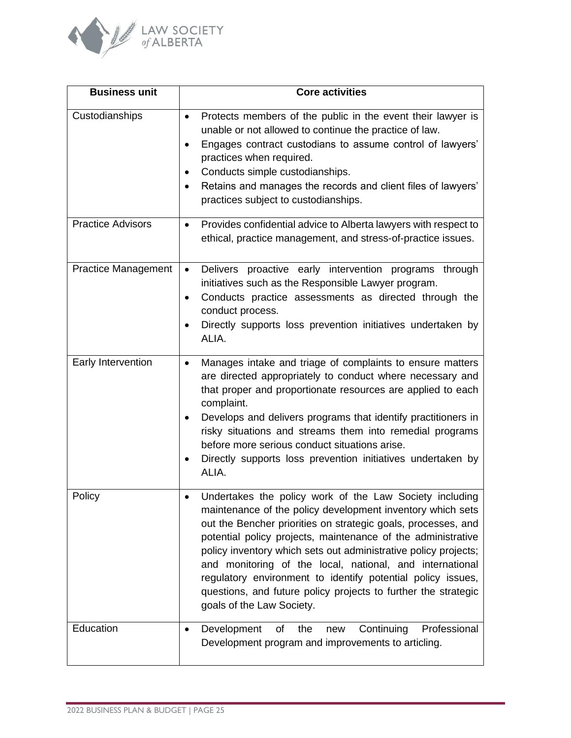

| <b>Business unit</b>       | <b>Core activities</b>                                                                                                                                                                                                                                                                                                                                                                                                                                                                                                                                           |
|----------------------------|------------------------------------------------------------------------------------------------------------------------------------------------------------------------------------------------------------------------------------------------------------------------------------------------------------------------------------------------------------------------------------------------------------------------------------------------------------------------------------------------------------------------------------------------------------------|
| Custodianships             | Protects members of the public in the event their lawyer is<br>$\bullet$<br>unable or not allowed to continue the practice of law.<br>Engages contract custodians to assume control of lawyers'<br>$\bullet$<br>practices when required.<br>Conducts simple custodianships.<br>Retains and manages the records and client files of lawyers'<br>practices subject to custodianships.                                                                                                                                                                              |
| <b>Practice Advisors</b>   | Provides confidential advice to Alberta lawyers with respect to<br>$\bullet$<br>ethical, practice management, and stress-of-practice issues.                                                                                                                                                                                                                                                                                                                                                                                                                     |
| <b>Practice Management</b> | Delivers proactive early intervention programs through<br>$\bullet$<br>initiatives such as the Responsible Lawyer program.<br>Conducts practice assessments as directed through the<br>$\bullet$<br>conduct process.<br>Directly supports loss prevention initiatives undertaken by<br>ALIA.                                                                                                                                                                                                                                                                     |
| Early Intervention         | Manages intake and triage of complaints to ensure matters<br>$\bullet$<br>are directed appropriately to conduct where necessary and<br>that proper and proportionate resources are applied to each<br>complaint.<br>Develops and delivers programs that identify practitioners in<br>$\bullet$<br>risky situations and streams them into remedial programs<br>before more serious conduct situations arise.<br>Directly supports loss prevention initiatives undertaken by<br>ALIA.                                                                              |
| Policy                     | Undertakes the policy work of the Law Society including<br>$\bullet$<br>maintenance of the policy development inventory which sets<br>out the Bencher priorities on strategic goals, processes, and<br>potential policy projects, maintenance of the administrative<br>policy inventory which sets out administrative policy projects;<br>and monitoring of the local, national, and international<br>regulatory environment to identify potential policy issues,<br>questions, and future policy projects to further the strategic<br>goals of the Law Society. |
| Education                  | Continuing<br>Professional<br>Development<br>of<br>the<br>new<br>$\bullet$<br>Development program and improvements to articling.                                                                                                                                                                                                                                                                                                                                                                                                                                 |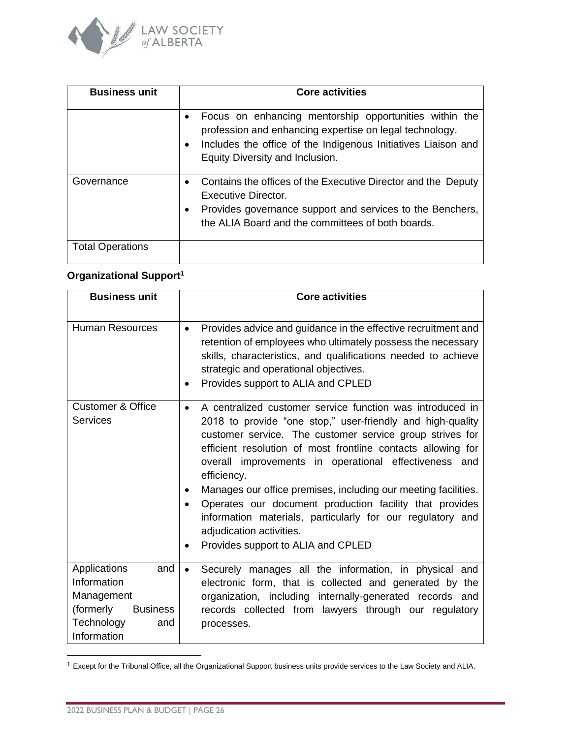

| <b>Business unit</b>    | <b>Core activities</b>                                                                                                                                                                                                                          |
|-------------------------|-------------------------------------------------------------------------------------------------------------------------------------------------------------------------------------------------------------------------------------------------|
|                         | Focus on enhancing mentorship opportunities within the<br>$\bullet$<br>profession and enhancing expertise on legal technology.<br>Includes the office of the Indigenous Initiatives Liaison and<br>$\bullet$<br>Equity Diversity and Inclusion. |
| Governance              | Contains the offices of the Executive Director and the Deputy<br>$\bullet$<br>Executive Director.<br>Provides governance support and services to the Benchers,<br>$\bullet$<br>the ALIA Board and the committees of both boards.                |
| <b>Total Operations</b> |                                                                                                                                                                                                                                                 |

## **Organizational Support<sup>1</sup>**

| <b>Business unit</b>                                                                                                 | <b>Core activities</b>                                                                                                                                                                                                                                                                                                                                                                                                                                                                                                                                                                                                               |
|----------------------------------------------------------------------------------------------------------------------|--------------------------------------------------------------------------------------------------------------------------------------------------------------------------------------------------------------------------------------------------------------------------------------------------------------------------------------------------------------------------------------------------------------------------------------------------------------------------------------------------------------------------------------------------------------------------------------------------------------------------------------|
| <b>Human Resources</b>                                                                                               | Provides advice and guidance in the effective recruitment and<br>$\bullet$<br>retention of employees who ultimately possess the necessary<br>skills, characteristics, and qualifications needed to achieve<br>strategic and operational objectives.<br>Provides support to ALIA and CPLED                                                                                                                                                                                                                                                                                                                                            |
| <b>Customer &amp; Office</b><br><b>Services</b>                                                                      | A centralized customer service function was introduced in<br>$\bullet$<br>2018 to provide "one stop," user-friendly and high-quality<br>customer service. The customer service group strives for<br>efficient resolution of most frontline contacts allowing for<br>overall improvements in operational effectiveness and<br>efficiency.<br>Manages our office premises, including our meeting facilities.<br>٠<br>Operates our document production facility that provides<br>$\bullet$<br>information materials, particularly for our regulatory and<br>adjudication activities.<br>Provides support to ALIA and CPLED<br>$\bullet$ |
| Applications<br>and<br>Information<br>Management<br>(formerly<br><b>Business</b><br>Technology<br>and<br>Information | Securely manages all the information, in physical and<br>$\bullet$<br>electronic form, that is collected and generated by the<br>organization, including internally-generated records and<br>records collected from lawyers through our regulatory<br>processes.                                                                                                                                                                                                                                                                                                                                                                     |

<sup>1</sup> Except for the Tribunal Office, all the Organizational Support business units provide services to the Law Society and ALIA.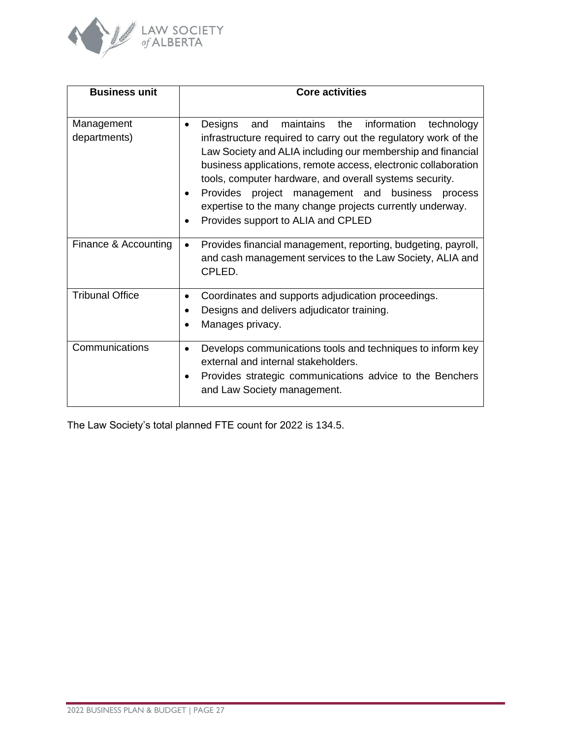

| <b>Business unit</b>       | <b>Core activities</b>                                                                                                                                                                                                                                                                                                                                                                                                                                                                                       |
|----------------------------|--------------------------------------------------------------------------------------------------------------------------------------------------------------------------------------------------------------------------------------------------------------------------------------------------------------------------------------------------------------------------------------------------------------------------------------------------------------------------------------------------------------|
| Management<br>departments) | maintains the<br>information<br>Designs<br>technology<br>and<br>$\bullet$<br>infrastructure required to carry out the regulatory work of the<br>Law Society and ALIA including our membership and financial<br>business applications, remote access, electronic collaboration<br>tools, computer hardware, and overall systems security.<br>Provides project management and business process<br>$\bullet$<br>expertise to the many change projects currently underway.<br>Provides support to ALIA and CPLED |
| Finance & Accounting       | Provides financial management, reporting, budgeting, payroll,<br>$\bullet$<br>and cash management services to the Law Society, ALIA and<br>CPLED.                                                                                                                                                                                                                                                                                                                                                            |
| <b>Tribunal Office</b>     | Coordinates and supports adjudication proceedings.<br>$\bullet$<br>Designs and delivers adjudicator training.<br>Manages privacy.                                                                                                                                                                                                                                                                                                                                                                            |
| Communications             | Develops communications tools and techniques to inform key<br>$\bullet$<br>external and internal stakeholders.<br>Provides strategic communications advice to the Benchers<br>and Law Society management.                                                                                                                                                                                                                                                                                                    |

The Law Society's total planned FTE count for 2022 is 134.5.